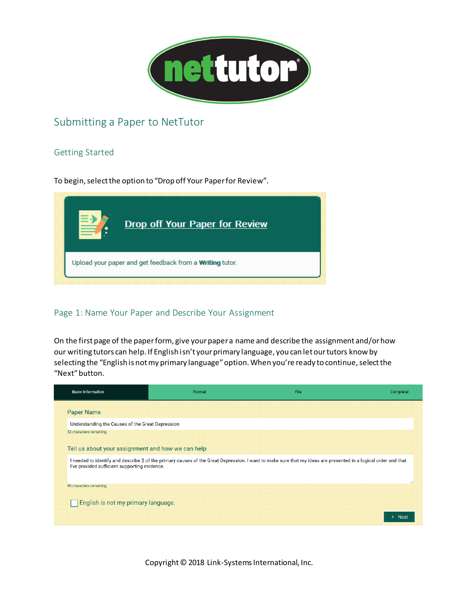

# Submitting a Paper to NetTutor

## Getting Started

To begin, select the option to "Drop off Your Paper for Review".

|                                                          | <b>Drop off Your Paper for Review</b><br>٠ |  |  |
|----------------------------------------------------------|--------------------------------------------|--|--|
| Upload your paper and get feedback from a Writing tutor. |                                            |  |  |

# Page 1: Name Your Paper and Describe Your Assignment

On the first page of the paper form, give your paper a name and describe the assignment and/orhow our writing tutors can help. If English isn't your primary language, you can let our tutors know by selecting the "English is not my primary language" option. When you're ready to continue, select the "Next" button.

| <b>Basic Information</b>                      | Format                                            | File                                                                                                                                                           | Complete! |  |  |  |  |
|-----------------------------------------------|---------------------------------------------------|----------------------------------------------------------------------------------------------------------------------------------------------------------------|-----------|--|--|--|--|
| <b>Paper Name</b>                             |                                                   |                                                                                                                                                                |           |  |  |  |  |
| 52 characters remaining                       | Understanding the Causes of the Great Depression  |                                                                                                                                                                |           |  |  |  |  |
|                                               | Tell us about your assignment and how we can help |                                                                                                                                                                |           |  |  |  |  |
| I've provided sufficient supporting evidence. |                                                   | I needed to identify and describe 2 of the primary causes of the Great Depression. I want to make sure that my ideas are presented in a logical order and that |           |  |  |  |  |
| 96 characters remaining                       |                                                   |                                                                                                                                                                | лi.       |  |  |  |  |
| English is not my primary language.           |                                                   |                                                                                                                                                                | $>$ Next  |  |  |  |  |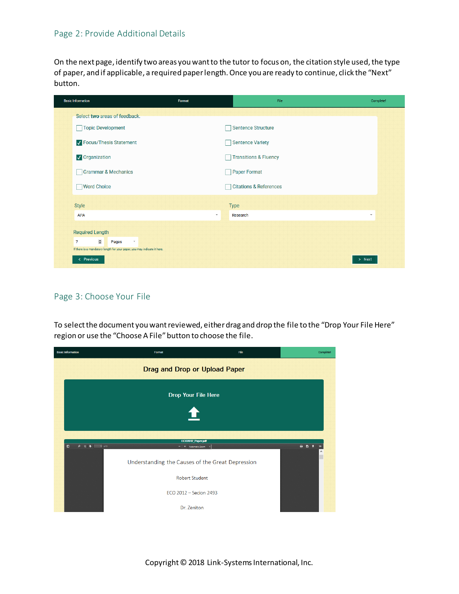#### Page 2: Provide Additional Details

On the next page, identify two areas you want to the tutor to focus on, the citation style used, the type of paper, and if applicable, a required paper length. Once you are ready to continue, click the "Next" button.

| <b>Basic Information</b>                                                 | Format | File                              | Complete!                |
|--------------------------------------------------------------------------|--------|-----------------------------------|--------------------------|
| Select two areas of feedback.                                            |        |                                   |                          |
| Topic Development                                                        |        | Sentence Structure                |                          |
| √ Focus/Thesis Statement                                                 |        | <b>Sentence Variety</b>           |                          |
| V Organization                                                           |        | <b>Transitions &amp; Fluency</b>  |                          |
| Grammar & Mechanics                                                      |        | <b>Paper Format</b>               |                          |
| Word Choice                                                              |        | <b>Citations &amp; References</b> |                          |
|                                                                          |        |                                   |                          |
| <b>Style</b><br><b>APA</b>                                               | $\;$   | <b>Type</b><br>Research           | $\overline{\phantom{a}}$ |
|                                                                          |        |                                   |                          |
| <b>Required Length</b>                                                   |        |                                   |                          |
| $\Rightarrow$<br>$\overline{7}$<br>Pages<br>$\scriptstyle\rm w$          |        |                                   |                          |
| If there is a mandatory length for your paper, you may indicate it here. |        |                                   |                          |
| < Previous                                                               |        |                                   | $>$ Next                 |

#### Page 3: Choose Your File

To select the document you want reviewed, either drag and drop the file to the "Drop Your File Here" region or use the "Choose A File" button to choose the file.

| <b>Basic Information</b>      | Format                                           | File | <b>Complete!</b>                          |
|-------------------------------|--------------------------------------------------|------|-------------------------------------------|
|                               | <b>Drag and Drop or Upload Paper</b>             |      |                                           |
|                               | <b>Drop Your File Here</b>                       |      |                                           |
|                               |                                                  |      |                                           |
|                               |                                                  |      |                                           |
| $\Box$<br>$P + 1$<br>$1$ of 9 | ECO2012 Paper.pdf<br>$ +$ Automatic Zoom         |      | $\Theta$ <b>B</b> $\overline{A}$<br>$\gg$ |
|                               | Understanding the Causes of the Great Depression |      |                                           |
|                               | <b>Robert Student</b>                            |      |                                           |
|                               | ECO 2012 - Secion 2493                           |      |                                           |
|                               | Dr. Zeniton                                      |      |                                           |